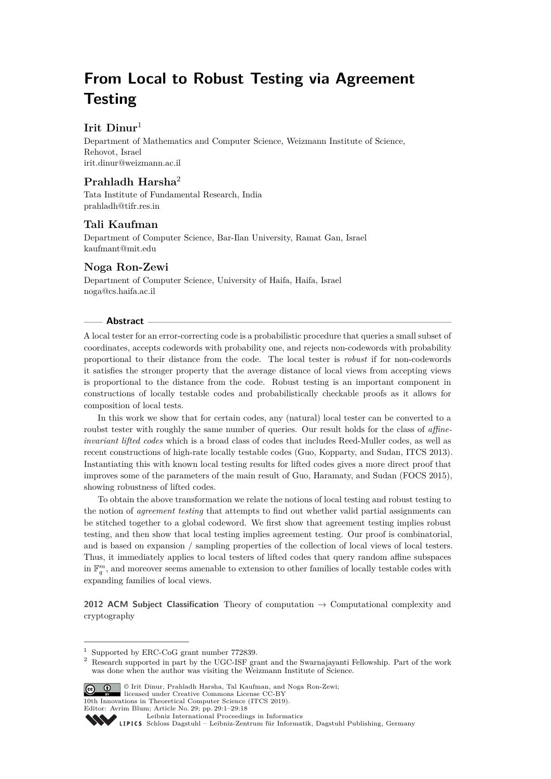# **From Local to Robust Testing via Agreement Testing**

# **Irit Dinur**<sup>1</sup>

Department of Mathematics and Computer Science, Weizmann Institute of Science, Rehovot, Israel [irit.dinur@weizmann.ac.il](mailto:irit.dinur@weizmann.ac.il )

# **Prahladh Harsha**<sup>2</sup>

Tata Institute of Fundamental Research, India [prahladh@tifr.res.in](mailto:prahladh@tifr.res.in)

# **Tali Kaufman**

Department of Computer Science, Bar-Ilan University, Ramat Gan, Israel [kaufmant@mit.edu](mailto:kaufmant@mit.edu)

# **Noga Ron-Zewi**

Department of Computer Science, University of Haifa, Haifa, Israel [noga@cs.haifa.ac.il](mailto:noga@cs.haifa.ac.il)

## **Abstract**

A local tester for an error-correcting code is a probabilistic procedure that queries a small subset of coordinates, accepts codewords with probability one, and rejects non-codewords with probability proportional to their distance from the code. The local tester is *robust* if for non-codewords it satisfies the stronger property that the average distance of local views from accepting views is proportional to the distance from the code. Robust testing is an important component in constructions of locally testable codes and probabilistically checkable proofs as it allows for composition of local tests.

In this work we show that for certain codes, any (natural) local tester can be converted to a roubst tester with roughly the same number of queries. Our result holds for the class of *affineinvariant lifted codes* which is a broad class of codes that includes Reed-Muller codes, as well as recent constructions of high-rate locally testable codes (Guo, Kopparty, and Sudan, ITCS 2013). Instantiating this with known local testing results for lifted codes gives a more direct proof that improves some of the parameters of the main result of Guo, Haramaty, and Sudan (FOCS 2015), showing robustness of lifted codes.

To obtain the above transformation we relate the notions of local testing and robust testing to the notion of *agreement testing* that attempts to find out whether valid partial assignments can be stitched together to a global codeword. We first show that agreement testing implies robust testing, and then show that local testing implies agreement testing. Our proof is combinatorial, and is based on expansion / sampling properties of the collection of local views of local testers. Thus, it immediately applies to local testers of lifted codes that query random affine subspaces in  $\mathbb{F}_q^m$ , and moreover seems amenable to extension to other families of locally testable codes with expanding families of local views.

**2012 ACM Subject Classification** Theory of computation → Computational complexity and cryptography

<sup>&</sup>lt;sup>2</sup> Research supported in part by the UGC-ISF grant and the Swarnajayanti Fellowship. Part of the work was done when the author was visiting the Weizmann Institute of Science.



© Irit Dinur, Prahladh Harsha, Tal Kaufman, and Noga Ron-Zewi; licensed under Creative Commons License CC-BY

10th Innovations in Theoretical Computer Science (ITCS 2019).

<sup>1</sup> Supported by ERC-CoG grant number 772839.

Editor: Avrim Blum; Article No. 29; pp. 29:1–29[:18](#page-17-0)

[Leibniz International Proceedings in Informatics](http://www.dagstuhl.de/lipics/)

[Schloss Dagstuhl – Leibniz-Zentrum für Informatik, Dagstuhl Publishing, Germany](http://www.dagstuhl.de)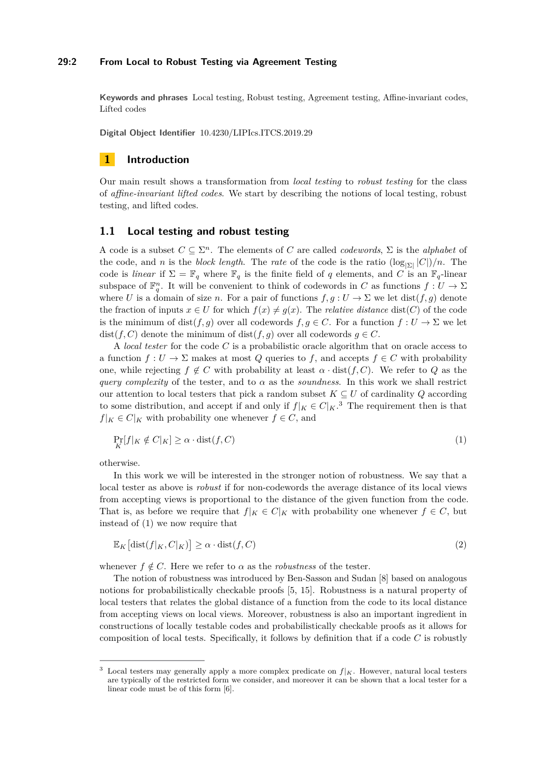### **29:2 From Local to Robust Testing via Agreement Testing**

**Keywords and phrases** Local testing, Robust testing, Agreement testing, Affine-invariant codes, Lifted codes

**Digital Object Identifier** [10.4230/LIPIcs.ITCS.2019.29](https://doi.org/10.4230/LIPIcs.ITCS.2019.29)

# **1 Introduction**

Our main result shows a transformation from *local testing* to *robust testing* for the class of *affine-invariant lifted codes*. We start by describing the notions of local testing, robust testing, and lifted codes.

## **1.1 Local testing and robust testing**

A code is a subset  $C \subseteq \Sigma^n$ . The elements of *C* are called *codewords*,  $\Sigma$  is the *alphabet* of the code, and *n* is the *block length*. The *rate* of the code is the ratio  $(\log_{|\Sigma|} |C|)/n$ . The code is *linear* if  $\Sigma = \mathbb{F}_q$  where  $\mathbb{F}_q$  is the finite field of q elements, and C is an  $\mathbb{F}_q$ -linear subspace of  $\mathbb{F}_q^n$ . It will be convenient to think of codewords in *C* as functions  $f: U \to \Sigma$ where *U* is a domain of size *n*. For a pair of functions  $f, g : U \to \Sigma$  we let  $dist(f, g)$  denote the fraction of inputs  $x \in U$  for which  $f(x) \neq g(x)$ . The *relative distance* dist(*C*) of the code is the minimum of  $dist(f, g)$  over all codewords  $f, g \in C$ . For a function  $f: U \to \Sigma$  we let dist(*f*, *C*) denote the minimum of dist(*f*, *g*) over all codewords  $g \in C$ .

A *local tester* for the code *C* is a probabilistic oracle algorithm that on oracle access to a function  $f: U \to \Sigma$  makes at most  $Q$  queries to  $f$ , and accepts  $f \in C$  with probability one, while rejecting  $f \notin C$  with probability at least  $\alpha \cdot \text{dist}(f, C)$ . We refer to Q as the *query complexity* of the tester, and to  $\alpha$  as the *soundness*. In this work we shall restrict our attention to local testers that pick a random subset  $K \subseteq U$  of cardinality  $Q$  according to some distribution, and accept if and only if  $f|_K \in C|_K$ .<sup>[3](#page-1-0)</sup> The requirement then is that  $f|_K \in C|_K$  with probability one whenever  $f \in C$ , and

<span id="page-1-1"></span>
$$
\Pr_K[f|_K \notin C|_K] \ge \alpha \cdot \text{dist}(f, C) \tag{1}
$$

otherwise.

In this work we will be interested in the stronger notion of robustness. We say that a local tester as above is *robust* if for non-codewords the average distance of its local views from accepting views is proportional to the distance of the given function from the code. That is, as before we require that  $f|_K \in C|_K$  with probability one whenever  $f \in C$ , but instead of [\(1\)](#page-1-1) we now require that

<span id="page-1-2"></span>
$$
\mathbb{E}_K\left[\text{dist}(f|_K, C|_K)\right] \ge \alpha \cdot \text{dist}(f, C) \tag{2}
$$

whenever  $f \notin C$ . Here we refer to  $\alpha$  as the *robustness* of the tester.

The notion of robustness was introduced by Ben-Sasson and Sudan [\[8\]](#page-16-0) based on analogous notions for probabilistically checkable proofs [\[5,](#page-16-1) [15\]](#page-17-1). Robustness is a natural property of local testers that relates the global distance of a function from the code to its local distance from accepting views on local views. Moreover, robustness is also an important ingredient in constructions of locally testable codes and probabilistically checkable proofs as it allows for composition of local tests. Specifically, it follows by definition that if a code *C* is robustly

<span id="page-1-0"></span>Local testers may generally apply a more complex predicate on  $f|_K$ . However, natural local testers are typically of the restricted form we consider, and moreover it can be shown that a local tester for a linear code must be of this form [\[6\]](#page-16-2).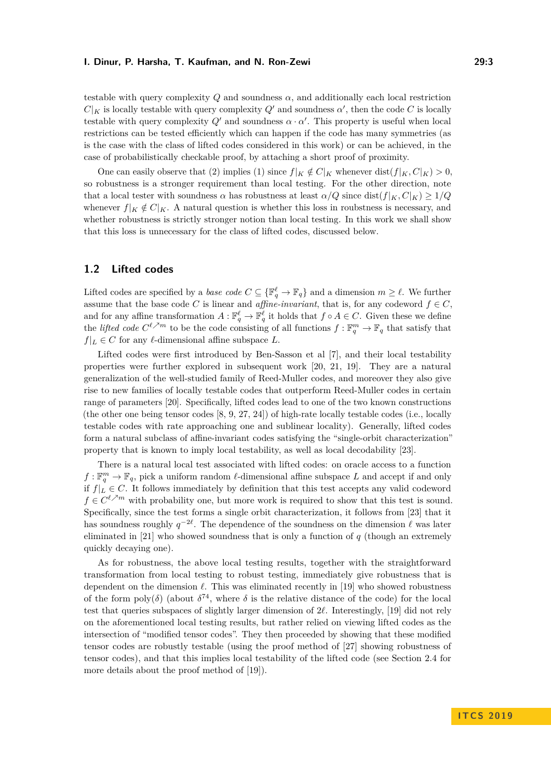testable with query complexity  $Q$  and soundness  $\alpha$ , and additionally each local restriction  $C|_K$  is locally testable with query complexity  $Q'$  and soundness  $\alpha'$ , then the code *C* is locally testable with query complexity  $Q'$  and soundness  $\alpha \cdot \alpha'$ . This property is useful when local restrictions can be tested efficiently which can happen if the code has many symmetries (as is the case with the class of lifted codes considered in this work) or can be achieved, in the case of probabilistically checkable proof, by attaching a short proof of proximity.

One can easily observe that [\(2\)](#page-1-2) implies [\(1\)](#page-1-1) since  $f|_K \notin C|_K$  whenever dist $(f|_K, C|_K) > 0$ , so robustness is a stronger requirement than local testing. For the other direction, note that a local tester with soundness  $\alpha$  has robustness at least  $\alpha/Q$  since dist $(f|_K, C|_K) \geq 1/Q$ whenever  $f|_K \notin C|_K$ . A natural question is whether this loss in roubstness is necessary, and whether robustness is strictly stronger notion than local testing. In this work we shall show that this loss is unnecessary for the class of lifted codes, discussed below.

# **1.2 Lifted codes**

Lifted codes are specified by a *base code*  $C \subseteq {\mathbb{F}_q^{\ell} \to \mathbb{F}_q}$  and a dimension  $m \geq \ell$ . We further assume that the base code *C* is linear and *affine-invariant*, that is, for any codeword  $f \in C$ , and for any affine transformation  $A: \mathbb{F}_q^{\ell} \to \mathbb{F}_q^{\ell}$  it holds that  $f \circ A \in C$ . Given these we define the *lifted code*  $C^{\ell \nearrow m}$  to be the code consisting of all functions  $f: \mathbb{F}_q^m \to \mathbb{F}_q$  that satisfy that  $f|_L \in C$  for any  $\ell$ -dimensional affine subspace *L*.

Lifted codes were first introduced by Ben-Sasson et al [\[7\]](#page-16-3), and their local testability properties were further explored in subsequent work [\[20,](#page-17-2) [21,](#page-17-3) [19\]](#page-17-4). They are a natural generalization of the well-studied family of Reed-Muller codes, and moreover they also give rise to new families of locally testable codes that outperform Reed-Muller codes in certain range of parameters [\[20\]](#page-17-2). Specifically, lifted codes lead to one of the two known constructions (the other one being tensor codes [\[8,](#page-16-0) [9,](#page-17-5) [27,](#page-17-6) [24\]](#page-17-7)) of high-rate locally testable codes (i.e., locally testable codes with rate approaching one and sublinear locality). Generally, lifted codes form a natural subclass of affine-invariant codes satisfying the "single-orbit characterization" property that is known to imply local testability, as well as local decodability [\[23\]](#page-17-8).

There is a natural local test associated with lifted codes: on oracle access to a function  $f: \mathbb{F}_q^m \to \mathbb{F}_q$ , pick a uniform random  $\ell$ -dimensional affine subspace *L* and accept if and only if  $f|_L \in C$ . It follows immediately by definition that this test accepts any valid codeword  $f \in C^{\ell \nearrow m}$  with probability one, but more work is required to show that this test is sound. Specifically, since the test forms a single orbit characterization, it follows from [\[23\]](#page-17-8) that it has soundness roughly  $q^{-2\ell}$ . The dependence of the soundness on the dimension  $\ell$  was later eliminated in [\[21\]](#page-17-3) who showed soundness that is only a function of *q* (though an extremely quickly decaying one).

As for robustness, the above local testing results, together with the straightforward transformation from local testing to robust testing, immediately give robustness that is dependent on the dimension  $\ell$ . This was eliminated recently in [\[19\]](#page-17-4) who showed robustness of the form poly( $\delta$ ) (about  $\delta^{74}$ , where  $\delta$  is the relative distance of the code) for the local test that queries subspaces of slightly larger dimension of  $2\ell$ . Interestingly, [\[19\]](#page-17-4) did not rely on the aforementioned local testing results, but rather relied on viewing lifted codes as the intersection of "modified tensor codes". They then proceeded by showing that these modified tensor codes are robustly testable (using the proof method of [\[27\]](#page-17-6) showing robustness of tensor codes), and that this implies local testability of the lifted code (see Section [2.4](#page-6-0) for more details about the proof method of [\[19\]](#page-17-4)).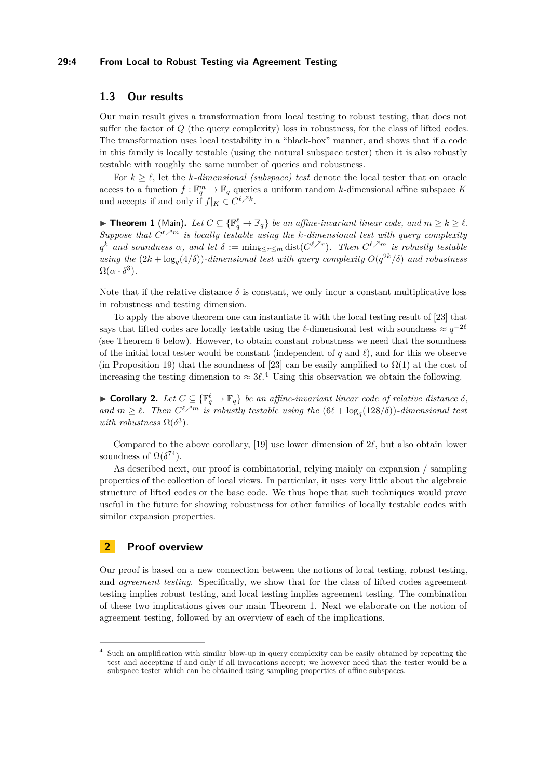## **29:4 From Local to Robust Testing via Agreement Testing**

## **1.3 Our results**

Our main result gives a transformation from local testing to robust testing, that does not suffer the factor of *Q* (the query complexity) loss in robustness, for the class of lifted codes. The transformation uses local testability in a "black-box" manner, and shows that if a code in this family is locally testable (using the natural subspace tester) then it is also robustly testable with roughly the same number of queries and robustness.

For  $k \geq \ell$ , let the *k*-dimensional (subspace) test denote the local tester that on oracle access to a function  $f: \mathbb{F}_q^m \to \mathbb{F}_q$  queries a uniform random *k*-dimensional affine subspace K and accepts if and only if  $f|_K \in C^{\ell \nearrow k}$ .

<span id="page-3-1"></span>▶ **Theorem 1** (Main). Let  $C \subseteq {\mathbb{F}_q^{\ell}} \to \mathbb{F}_q$  *be an affine-invariant linear code, and*  $m \geq k \geq \ell$ . *Suppose that*  $C^{\ell \nearrow m}$  *is locally testable using the k-dimensional test with query complexity*  $q^k$  *and soundness*  $\alpha$ *, and let*  $\delta := \min_{k \leq r \leq m} \text{dist}(C^{\ell \nearrow r})$ *. Then*  $C^{\ell \nearrow m}$  *is robustly testable using the*  $(2k + \log_q(4/\delta))$ *-dimensional test with query complexity*  $O(q^{2k}/\delta)$  *and robustness*  $\Omega(\alpha \cdot \delta^3)$ .

Note that if the relative distance  $\delta$  is constant, we only incur a constant multiplicative loss in robustness and testing dimension.

To apply the above theorem one can instantiate it with the local testing result of [\[23\]](#page-17-8) that says that lifted codes are locally testable using the  $\ell$ -dimensional test with soundness  $\approx q^{-2\ell}$ (see Theorem [6](#page-7-0) below). However, to obtain constant robustness we need that the soundness of the initial local tester would be constant (independent of  $q$  and  $\ell$ ), and for this we observe (in Proposition [19\)](#page-16-4) that the soundness of [\[23\]](#page-17-8) can be easily amplified to  $\Omega(1)$  at the cost of increasing the testing dimension to  $\approx 3\ell^4$  $\approx 3\ell^4$ . Using this observation we obtain the following.

<span id="page-3-2"></span>► **Corollary 2.** Let  $C \subseteq {\mathbb{F}_q^{\ell}} \to \mathbb{F}_q$  *be an affine-invariant linear code of relative distance*  $\delta$ *,* and  $m \geq \ell$ . Then  $C^{\ell \nearrow m}$  is robustly testable using the  $(6\ell + \log_q(128/\delta))$ -dimensional test *with robustness*  $\Omega(\delta^3)$ *.* 

Compared to the above corollary, [\[19\]](#page-17-4) use lower dimension of  $2\ell$ , but also obtain lower soundness of  $\Omega(\delta^{74})$ .

As described next, our proof is combinatorial, relying mainly on expansion / sampling properties of the collection of local views. In particular, it uses very little about the algebraic structure of lifted codes or the base code. We thus hope that such techniques would prove useful in the future for showing robustness for other families of locally testable codes with similar expansion properties.

## **2 Proof overview**

Our proof is based on a new connection between the notions of local testing, robust testing, and *agreement testing*. Specifically, we show that for the class of lifted codes agreement testing implies robust testing, and local testing implies agreement testing. The combination of these two implications gives our main Theorem [1.](#page-3-1) Next we elaborate on the notion of agreement testing, followed by an overview of each of the implications.

<span id="page-3-0"></span>Such an amplification with similar blow-up in query complexity can be easily obtained by repeating the test and accepting if and only if all invocations accept; we however need that the tester would be a subspace tester which can be obtained using sampling properties of affine subspaces.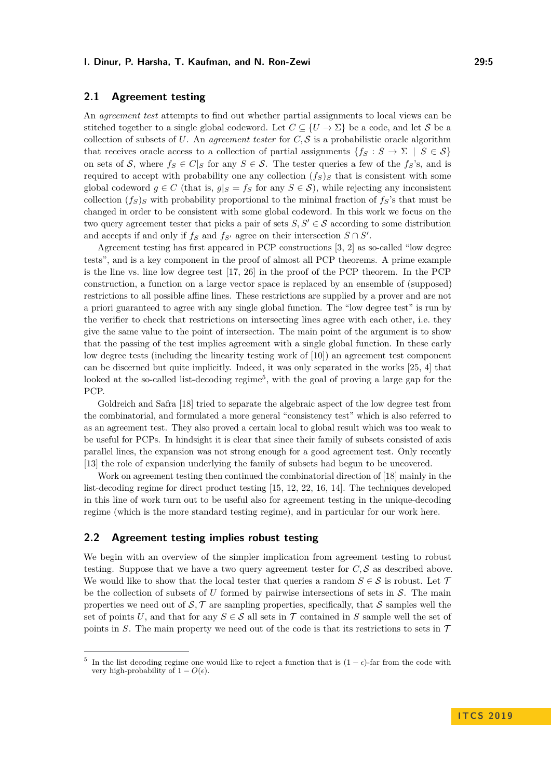# **2.1 Agreement testing**

An *agreement test* attempts to find out whether partial assignments to local views can be stitched together to a single global codeword. Let  $C \subseteq \{U \to \Sigma\}$  be a code, and let S be a collection of subsets of  $U$ . An *agreement tester* for  $C, S$  is a probabilistic oracle algorithm that receives oracle access to a collection of partial assignments  ${f_S : S \to \Sigma \mid S \in \mathcal{S}}$ on sets of S, where  $f_S \in C|_S$  for any  $S \in S$ . The tester queries a few of the  $f_S$ 's, and is required to accept with probability one any collection  $(f_S)_S$  that is consistent with some global codeword  $g \in C$  (that is,  $g|_S = f_S$  for any  $S \in S$ ), while rejecting any inconsistent collection  $(f<sub>S</sub>)$ <sub>*S*</sub> with probability proportional to the minimal fraction of  $f<sub>S</sub>$ 's that must be changed in order to be consistent with some global codeword. In this work we focus on the two query agreement tester that picks a pair of sets  $S, S' \in \mathcal{S}$  according to some distribution and accepts if and only if  $f_S$  and  $f_{S'}$  agree on their intersection  $S \cap S'$ .

Agreement testing has first appeared in PCP constructions [\[3,](#page-16-5) [2\]](#page-16-6) as so-called "low degree tests", and is a key component in the proof of almost all PCP theorems. A prime example is the line vs. line low degree test [\[17,](#page-17-9) [26\]](#page-17-10) in the proof of the PCP theorem. In the PCP construction, a function on a large vector space is replaced by an ensemble of (supposed) restrictions to all possible affine lines. These restrictions are supplied by a prover and are not a priori guaranteed to agree with any single global function. The "low degree test" is run by the verifier to check that restrictions on intersecting lines agree with each other, i.e. they give the same value to the point of intersection. The main point of the argument is to show that the passing of the test implies agreement with a single global function. In these early low degree tests (including the linearity testing work of [\[10\]](#page-17-11)) an agreement test component can be discerned but quite implicitly. Indeed, it was only separated in the works [\[25,](#page-17-12) [4\]](#page-16-7) that looked at the so-called list-decoding regime<sup>[5](#page-4-0)</sup>, with the goal of proving a large gap for the PCP.

Goldreich and Safra [\[18\]](#page-17-13) tried to separate the algebraic aspect of the low degree test from the combinatorial, and formulated a more general "consistency test" which is also referred to as an agreement test. They also proved a certain local to global result which was too weak to be useful for PCPs. In hindsight it is clear that since their family of subsets consisted of axis parallel lines, the expansion was not strong enough for a good agreement test. Only recently [\[13\]](#page-17-14) the role of expansion underlying the family of subsets had begun to be uncovered.

Work on agreement testing then continued the combinatorial direction of [\[18\]](#page-17-13) mainly in the list-decoding regime for direct product testing [\[15,](#page-17-1) [12,](#page-17-15) [22,](#page-17-16) [16,](#page-17-17) [14\]](#page-17-18). The techniques developed in this line of work turn out to be useful also for agreement testing in the unique-decoding regime (which is the more standard testing regime), and in particular for our work here.

## **2.2 Agreement testing implies robust testing**

We begin with an overview of the simpler implication from agreement testing to robust testing. Suppose that we have a two query agreement tester for  $C, S$  as described above. We would like to show that the local tester that queries a random  $S \in \mathcal{S}$  is robust. Let T be the collection of subsets of  $U$  formed by pairwise intersections of sets in  $S$ . The main properties we need out of  $S, \mathcal{T}$  are sampling properties, specifically, that S samples well the set of points *U*, and that for any  $S \in \mathcal{S}$  all sets in  $\mathcal{T}$  contained in *S* sample well the set of points in *S*. The main property we need out of the code is that its restrictions to sets in  $\mathcal T$ 

<span id="page-4-0"></span><sup>&</sup>lt;sup>5</sup> In the list decoding regime one would like to reject a function that is  $(1 - \epsilon)$ -far from the code with very high-probability of  $1 - O(\epsilon)$ .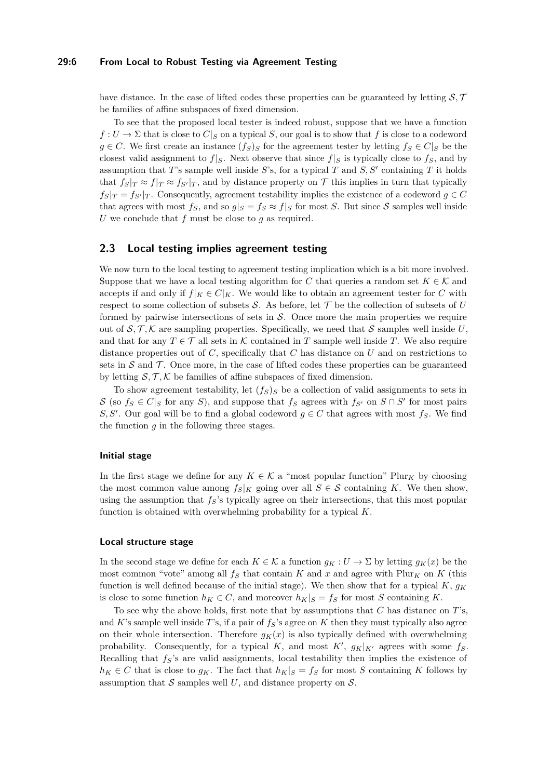### **29:6 From Local to Robust Testing via Agreement Testing**

have distance. In the case of lifted codes these properties can be guaranteed by letting  $S, \mathcal{T}$ be families of affine subspaces of fixed dimension.

To see that the proposed local tester is indeed robust, suppose that we have a function  $f: U \to \Sigma$  that is close to  $C|_S$  on a typical *S*, our goal is to show that *f* is close to a codeword *g* ∈ *C*. We first create an instance  $(f_S)_S$  for the agreement tester by letting  $f_S ∈ C|_S$  be the closest valid assignment to  $f|_S$ . Next observe that since  $f|_S$  is typically close to  $f_S$ , and by assumption that *T*'s sample well inside *S*'s, for a typical *T* and *S*, *S'* containing *T* it holds that  $f_{S}|_{T} \approx f_{S'}|_{T}$ , and by distance property on T this implies in turn that typically  $f_S|_T = f_{S'}|_T$ . Consequently, agreement testability implies the existence of a codeword  $g \in C$ that agrees with most  $f_S$ , and so  $g|_S = f_S \approx f|_S$  for most *S*. But since *S* samples well inside *U* we conclude that *f* must be close to *g* as required.

## **2.3 Local testing implies agreement testing**

We now turn to the local testing to agreement testing implication which is a bit more involved. Suppose that we have a local testing algorithm for *C* that queries a random set  $K \in \mathcal{K}$  and accepts if and only if  $f|_K \in C|_K$ . We would like to obtain an agreement tester for C with respect to some collection of subsets  $S$ . As before, let  $T$  be the collection of subsets of  $U$ formed by pairwise intersections of sets in  $S$ . Once more the main properties we require out of  $S, \mathcal{T}, \mathcal{K}$  are sampling properties. Specifically, we need that S samples well inside U, and that for any  $T \in \mathcal{T}$  all sets in K contained in T sample well inside T. We also require distance properties out of *C*, specifically that *C* has distance on *U* and on restrictions to sets in  $S$  and  $T$ . Once more, in the case of lifted codes these properties can be guaranteed by letting  $S, \mathcal{T}, \mathcal{K}$  be families of affine subspaces of fixed dimension.

To show agreement testability, let  $(f_S)_S$  be a collection of valid assignments to sets in S (so  $f_S \in C|_S$  for any *S*), and suppose that  $f_S$  agrees with  $f_{S'}$  on  $S \cap S'$  for most pairs *S, S'*. Our goal will be to find a global codeword  $g \in C$  that agrees with most  $f_S$ . We find the function  $g$  in the following three stages.

#### **Initial stage**

In the first stage we define for any  $K \in \mathcal{K}$  a "most popular function" Plur<sub>K</sub> by choosing the most common value among  $f_S|_K$  going over all  $S \in \mathcal{S}$  containing K. We then show, using the assumption that  $f_S$ 's typically agree on their intersections, that this most popular function is obtained with overwhelming probability for a typical *K*.

### **Local structure stage**

In the second stage we define for each  $K \in \mathcal{K}$  a function  $q_K : U \to \Sigma$  by letting  $q_K(x)$  be the most common "vote" among all  $f<sub>S</sub>$  that contain *K* and *x* and agree with Plur<sub>K</sub> on *K* (this function is well defined because of the initial stage). We then show that for a typical  $K$ ,  $g_K$ is close to some function  $h_K \in C$ , and moreover  $h_K|_S = f_S$  for most *S* containing *K*.

To see why the above holds, first note that by assumptions that *C* has distance on *T*'s, and  $K$ 's sample well inside  $T$ 's, if a pair of  $f_S$ 's agree on  $K$  then they must typically also agree on their whole intersection. Therefore  $q_K(x)$  is also typically defined with overwhelming probability. Consequently, for a typical *K*, and most *K'*,  $g_K|_{K}$  agrees with some  $f_S$ . Recalling that *fS*'s are valid assignments, local testability then implies the existence of  $h_K \in C$  that is close to  $g_K$ . The fact that  $h_K|_S = f_S$  for most *S* containing *K* follows by assumption that  $S$  samples well  $U$ , and distance property on  $S$ .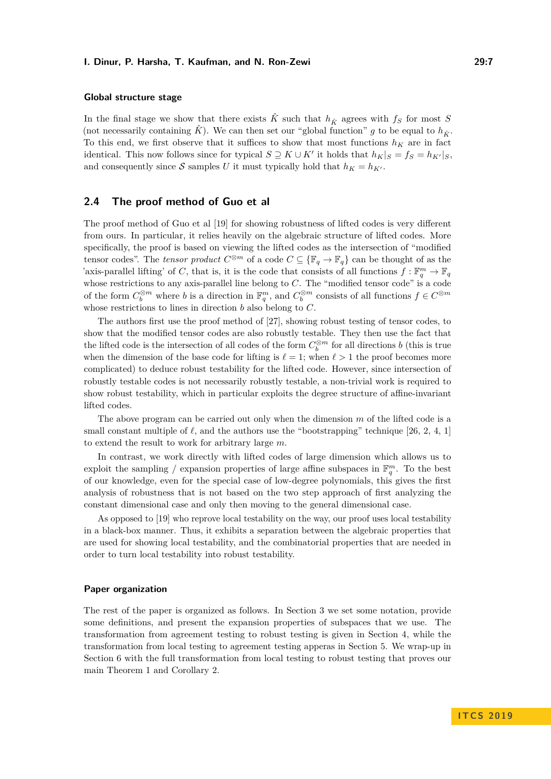## **Global structure stage**

In the final stage we show that there exists  $\hat{K}$  such that  $h_{\hat{K}}$  agrees with  $f_S$  for most *S* (not necessarily containing  $\hat{K}$ ). We can then set our "global function" *g* to be equal to  $h_{\hat{K}}$ . To this end, we first observe that it suffices to show that most functions  $h_K$  are in fact identical. This now follows since for typical  $S \supseteq K \cup K'$  it holds that  $h_K|_S = f_S = h_{K'}|_S$ , and consequently since S samples *U* it must typically hold that  $h_K = h_{K}$ .

## <span id="page-6-0"></span>**2.4 The proof method of Guo et al**

The proof method of Guo et al [\[19\]](#page-17-4) for showing robustness of lifted codes is very different from ours. In particular, it relies heavily on the algebraic structure of lifted codes. More specifically, the proof is based on viewing the lifted codes as the intersection of "modified tensor codes". The *tensor product*  $C^{\otimes m}$  of a code  $C \subseteq {\mathbb{F}_q \to \mathbb{F}_q}$  can be thought of as the 'axis-parallel lifting' of *C*, that is, it is the code that consists of all functions  $f: \mathbb{F}_q^m \to \mathbb{F}_q$ whose restrictions to any axis-parallel line belong to *C*. The "modified tensor code" is a code of the form  $C_b^{\otimes m}$  where *b* is a direction in  $\mathbb{F}_q^m$ , and  $C_b^{\otimes m}$  consists of all functions  $f \in C^{\otimes m}$ whose restrictions to lines in direction *b* also belong to *C*.

The authors first use the proof method of [\[27\]](#page-17-6), showing robust testing of tensor codes, to show that the modified tensor codes are also robustly testable. They then use the fact that the lifted code is the intersection of all codes of the form  $C_b^{\otimes m}$  for all directions *b* (this is true when the dimension of the base code for lifting is  $\ell = 1$ ; when  $\ell > 1$  the proof becomes more complicated) to deduce robust testability for the lifted code. However, since intersection of robustly testable codes is not necessarily robustly testable, a non-trivial work is required to show robust testability, which in particular exploits the degree structure of affine-invariant lifted codes.

The above program can be carried out only when the dimension *m* of the lifted code is a small constant multiple of  $\ell$ , and the authors use the "bootstrapping" technique [\[26,](#page-17-10) [2,](#page-16-6) [4,](#page-16-7) [1\]](#page-16-8) to extend the result to work for arbitrary large *m*.

In contrast, we work directly with lifted codes of large dimension which allows us to exploit the sampling / expansion properties of large affine subspaces in  $\mathbb{F}_q^m$ . To the best of our knowledge, even for the special case of low-degree polynomials, this gives the first analysis of robustness that is not based on the two step approach of first analyzing the constant dimensional case and only then moving to the general dimensional case.

As opposed to [\[19\]](#page-17-4) who reprove local testability on the way, our proof uses local testability in a black-box manner. Thus, it exhibits a separation between the algebraic properties that are used for showing local testability, and the combinatorial properties that are needed in order to turn local testability into robust testability.

#### **Paper organization**

The rest of the paper is organized as follows. In Section [3](#page-7-1) we set some notation, provide some definitions, and present the expansion properties of subspaces that we use. The transformation from agreement testing to robust testing is given in Section [4,](#page-10-0) while the transformation from local testing to agreement testing apperas in Section [5.](#page-10-1) We wrap-up in Section [6](#page-15-0) with the full transformation from local testing to robust testing that proves our main Theorem [1](#page-3-1) and Corollary [2.](#page-3-2)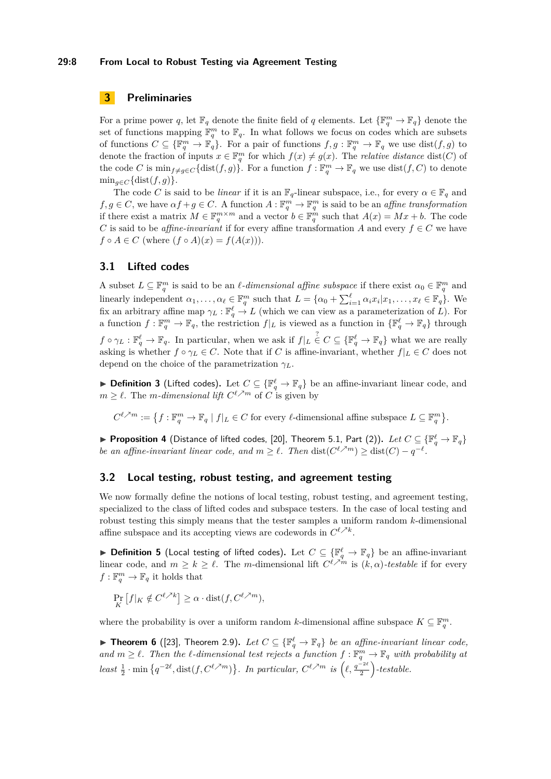## **29:8 From Local to Robust Testing via Agreement Testing**

# <span id="page-7-1"></span>**3 Preliminaries**

For a prime power *q*, let  $\mathbb{F}_q$  denote the finite field of *q* elements. Let  $\{\mathbb{F}_q^m \to \mathbb{F}_q\}$  denote the set of functions mapping  $\mathbb{F}_q^m$  to  $\mathbb{F}_q$ . In what follows we focus on codes which are subsets of functions  $C \subseteq {\mathbb{F}_q^m} \to \mathbb{F}_q$ . For a pair of functions  $f, g: \mathbb{F}_q^m \to \mathbb{F}_q$  we use  $dist(f, g)$  to denote the fraction of inputs  $x \in \mathbb{F}_q^m$  for which  $f(x) \neq g(x)$ . The *relative distance* dist(*C*) of the code *C* is  $\min_{f \neq g \in C} {\text{dist}(f, g)}$ . For a function  $f : \mathbb{F}_q^m \to \mathbb{F}_q$  we use  $\text{dist}(f, C)$  to denote  $\min_{g \in C} {\{\text{dist}(f,g)\}}.$ 

The code *C* is said to be *linear* if it is an  $\mathbb{F}_q$ -linear subspace, i.e., for every  $\alpha \in \mathbb{F}_q$  and  $f, g \in C$ , we have  $\alpha f + g \in C$ . A function  $A: \mathbb{F}_q^m \to \mathbb{F}_q^m$  is said to be an *affine transformation* if there exist a matrix  $M \in \mathbb{F}_q^{m \times m}$  and a vector  $b \in \mathbb{F}_q^m$  such that  $A(x) = Mx + b$ . The code *C* is said to be *affine-invariant* if for every affine transformation *A* and every  $f \in C$  we have  $f \circ A \in C$  (where  $(f \circ A)(x) = f(A(x))$ ).

## **3.1 Lifted codes**

A subset  $L \subseteq \mathbb{F}_q^m$  is said to be an  $\ell$ -dimensional affine subspace if there exist  $\alpha_0 \in \mathbb{F}_q^m$  and linearly independent  $\alpha_1, \ldots, \alpha_\ell \in \mathbb{F}_q^m$  such that  $L = \{\alpha_0 + \sum_{i=1}^\ell \alpha_i x_i | x_1, \ldots, x_\ell \in \mathbb{F}_q\}$ . We fix an arbitrary affine map  $\gamma_L : \mathbb{F}_q^{\ell} \to L$  (which we can view as a parameterization of *L*). For a function  $f: \mathbb{F}_q^m \to \mathbb{F}_q$ , the restriction  $f|_L$  is viewed as a function in  $\{\mathbb{F}_q^{\ell} \to \mathbb{F}_q\}$  through  $f \circ \gamma_L : \mathbb{F}_q^{\ell} \to \mathbb{F}_q$ . In particular, when we ask if  $f|_L \in C \subseteq {\mathbb{F}_q^{\ell}} \to \mathbb{F}_q$  what we are really asking is whether  $f \circ \gamma_L \in C$ . Note that if *C* is affine-invariant, whether  $f|_L \in C$  does not depend on the choice of the parametrization *γL*.

▶ **Definition 3** (Lifted codes). Let  $C \subseteq {\mathbb{F}_q^{\ell}} \to \mathbb{F}_q$  be an affine-invariant linear code, and  $m \geq \ell$ . The *m-dimensional lift*  $C^{\ell \nearrow m}$  of *C* is given by

 $C^{\ell,m} := \left\{ f : \mathbb{F}_q^m \to \mathbb{F}_q \mid f|_L \in C \text{ for every } \ell\text{-dimensional affine subspace } L \subseteq \mathbb{F}_q^m \right\}.$ 

<span id="page-7-2"></span>▶ <code>Proposition 4</code> (Distance of lifted codes, [\[20\]](#page-17-2), Theorem 5.1, Part (2)).  $Let$   $C \subseteq \{\mathbb{F}_q^\ell \to \mathbb{F}_q\}$ *be an affine-invariant linear code, and*  $m \geq \ell$ . Then  $dist(C^{\ell,m}) \geq dist(C) - q^{-\ell}$ .

## **3.2 Local testing, robust testing, and agreement testing**

We now formally define the notions of local testing, robust testing, and agreement testing, specialized to the class of lifted codes and subspace testers. In the case of local testing and robust testing this simply means that the tester samples a uniform random *k*-dimensional affine subspace and its accepting views are codewords in  $C^{\ell \nearrow k}$ .

▶ Definition 5 (Local testing of lifted codes). Let  $C \subseteq \{\mathbb{F}_q^{\ell} \to \mathbb{F}_q\}$  be an affine-invariant linear code, and  $m \geq k \geq \ell$ . The *m*-dimensional lift  $C^{\ell \nearrow m}$  is  $(k, \alpha)$ -testable if for every  $f: \mathbb{F}_q^m \to \mathbb{F}_q$  it holds that

$$
\Pr_{K} [f|_{K} \notin C^{\ell \nearrow k}] \ge \alpha \cdot \text{dist}(f, C^{\ell \nearrow m}),
$$

where the probability is over a uniform random *k*-dimensional affine subspace  $K \subseteq \mathbb{F}_q^m$ .

<span id="page-7-0"></span>▶ **Theorem 6** ([\[23\]](#page-17-8), Theorem 2.9). Let  $C \subseteq {\mathbb{F}_q^{\ell}} \to \mathbb{F}_q$  be an affine-invariant linear code, and  $m \geq \ell$ . Then the  $\ell$ -dimensional test rejects a function  $f : \mathbb{F}_q^m \to \mathbb{F}_q$  with probability at *least*  $\frac{1}{2}$  · min  $\{q^{-2\ell}, \text{dist}(f, C^{\ell \nearrow m})\}$ . In particular,  $C^{\ell \nearrow m}$  is  $(\ell, \frac{q^{-2\ell}}{2})$  $\left(\frac{-2\ell}{2}\right)$ -testable.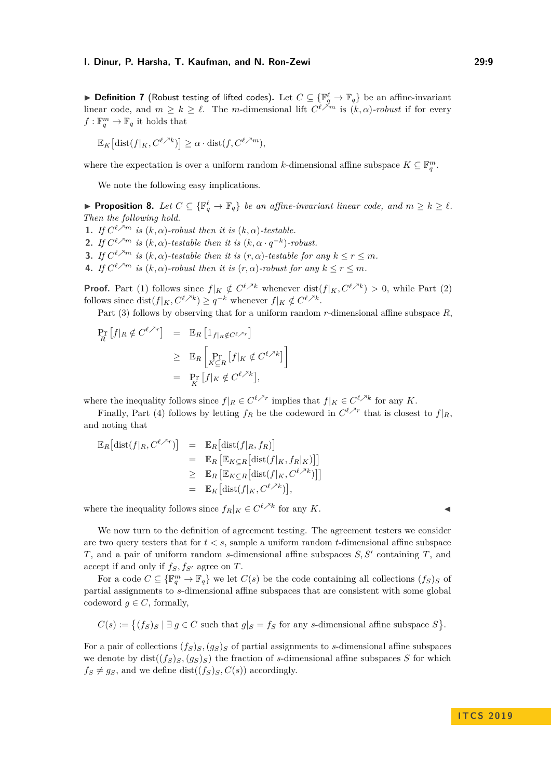▶ Definition 7 (Robust testing of lifted codes). Let  $C \subseteq \{\mathbb{F}_q^{\ell} \to \mathbb{F}_q\}$  be an affine-invariant linear code, and  $m \geq k \geq \ell$ . The *m*-dimensional lift  $C^{\ell \nearrow m}$  is  $(k, \alpha)$ -robust if for every  $f: \mathbb{F}_q^m \to \mathbb{F}_q$  it holds that

$$
\mathbb{E}_K\big[\text{dist}(f|_K, C^{\ell \nearrow k})\big] \ge \alpha \cdot \text{dist}(f, C^{\ell \nearrow m}),
$$

where the expectation is over a uniform random *k*-dimensional affine subspace  $K \subseteq \mathbb{F}_q^m$ .

We note the following easy implications.

<span id="page-8-0"></span>▶ **Proposition 8.** Let  $C \subseteq {\mathbb{F}_q^{\ell}} \to \mathbb{F}_q$  *be an affine-invariant linear code, and*  $m \geq k \geq \ell$ *. Then the following hold.*

**1.** *If*  $C^{\ell \nearrow m}$  *is*  $(k, \alpha)$ *-robust then it is*  $(k, \alpha)$ *-testable.* **2.** *If*  $C^{\ell \nearrow m}$  *is*  $(k, \alpha)$ *-testable then it is*  $(k, \alpha \cdot q^{-k})$ *-robust.* 

**3.** *If*  $C^{\ell \nearrow m}$  *is*  $(k, \alpha)$ *-testable then it is*  $(r, \alpha)$ *-testable for any*  $k \leq r \leq m$ *.* 

**4.** *If*  $C^{\ell \nearrow m}$  *is*  $(k, \alpha)$ *-robust then it is*  $(r, \alpha)$ *-robust for any*  $k \leq r \leq m$ *.* 

**Proof.** Part (1) follows since  $f|_K \notin C^{\ell \nearrow k}$  whenever dist $(f|_K, C^{\ell \nearrow k}) > 0$ , while Part (2) follows since  $\text{dist}(f|_K, C^{\ell \nearrow k}) \geq q^{-k}$  whenever  $f|_K \notin C^{\ell \nearrow k}$ .

Part (3) follows by observing that for a uniform random *r*-dimensional affine subspace *R*,

1

$$
\Pr_{R} [f|_{R} \notin C^{\ell \nearrow r}] = \mathbb{E}_{R} [\mathbb{1}_{f|_{R} \notin C^{\ell \nearrow r}}]
$$
  
\n
$$
\geq \mathbb{E}_{R} [\Pr_{K \subseteq R} [f|_{K} \notin C^{\ell \nearrow k}]
$$
  
\n
$$
= \Pr_{K} [f|_{K} \notin C^{\ell \nearrow k}],
$$

where the inequality follows since  $f|_R \in C^{\ell \nearrow r}$  implies that  $f|_K \in C^{\ell \nearrow k}$  for any *K*.

Finally, Part (4) follows by letting  $f_R$  be the codeword in  $C^{\ell \nearrow r}$  that is closest to  $f|_R$ , and noting that

$$
\mathbb{E}_{R}[\text{dist}(f|_{R}, C^{\ell \nearrow r})] = \mathbb{E}_{R}[\text{dist}(f|_{R}, f_{R})]
$$
  
\n
$$
= \mathbb{E}_{R}[\mathbb{E}_{K \subseteq R}[\text{dist}(f|_{K}, f_{R}|_{K})]]]
$$
  
\n
$$
\geq \mathbb{E}_{R}[\mathbb{E}_{K \subseteq R}[\text{dist}(f|_{K}, C^{\ell \nearrow k})]]
$$
  
\n
$$
= \mathbb{E}_{K}[\text{dist}(f|_{K}, C^{\ell \nearrow k})],
$$

where the inequality follows since  $f_R|_K \in C^{\ell \nearrow k}$  for any *K*.

We now turn to the definition of agreement testing. The agreement testers we consider are two query testers that for *t < s*, sample a uniform random *t*-dimensional affine subspace  $T$ , and a pair of uniform random *s*-dimensional affine subspaces  $S, S'$  containing  $T$ , and accept if and only if  $f_S, f_{S'}$  agree on *T*.

For a code  $C \subseteq {\mathbb{F}_q^m \to \mathbb{F}_q}$  we let  $C(s)$  be the code containing all collections  $(f_S)_S$  of partial assignments to *s*-dimensional affine subspaces that are consistent with some global codeword  $q \in C$ , formally,

$$
C(s) := \{(f_S)_S \mid \exists g \in C \text{ such that } g|_S = f_S \text{ for any } s\text{-dimensional affine subspace } S\}.
$$

For a pair of collections  $(f_S)_{S}$ ,  $(g_S)_{S}$  of partial assignments to *s*-dimensional affine subspaces we denote by  $dist((f_S)_S, (g_S)_S)$  the fraction of *s*-dimensional affine subspaces *S* for which  $f_S \neq g_S$ , and we define dist $((f_S)_S, C(s))$  accordingly.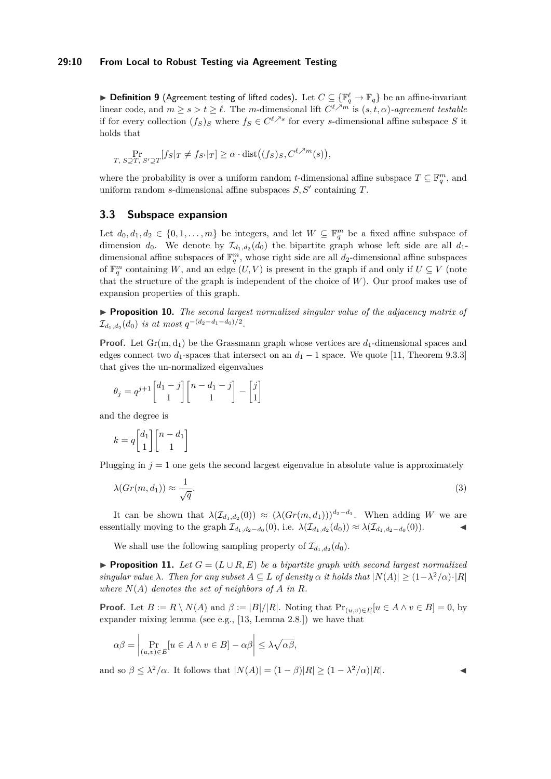## **29:10 From Local to Robust Testing via Agreement Testing**

▶ Definition 9 (Agreement testing of lifted codes). Let  $C \subseteq \{\mathbb{F}_q^\ell \to \mathbb{F}_q\}$  be an affine-invariant linear code, and  $m \geq s > t \geq \ell$ . The *m*-dimensional lift  $C^{\ell \nearrow m}$  is  $(s, t, \alpha)$ -agreement testable if for every collection  $(f_S)_S$  where  $f_S \in C^{\ell \nearrow s}$  for every *s*-dimensional affine subspace *S* it holds that

$$
\Pr_{T, S \supseteq T, S' \supseteq T} [f_S|_T \neq f_{S'}|_T] \geq \alpha \cdot \text{dist}\big((f_S)_S, C^{\ell, \lambda m}(s)\big),
$$

where the probability is over a uniform random *t*-dimensional affine subspace  $T \subseteq \mathbb{F}_q^m$ , and uniform random *s*-dimensional affine subspaces  $S, S'$  containing  $T$ .

## **3.3 Subspace expansion**

Let  $d_0, d_1, d_2 \in \{0, 1, \ldots, m\}$  be integers, and let  $W \subseteq \mathbb{F}_q^m$  be a fixed affine subspace of dimension  $d_0$ . We denote by  $\mathcal{I}_{d_1,d_2}(d_0)$  the bipartite graph whose left side are all  $d_1$ dimensional affine subspaces of  $\mathbb{F}_q^m$ , whose right side are all  $d_2$ -dimensional affine subspaces of  $\mathbb{F}_q^m$  containing *W*, and an edge  $(U, V)$  is present in the graph if and only if  $U \subseteq V$  (note that the structure of the graph is independent of the choice of *W*). Our proof makes use of expansion properties of this graph.

<span id="page-9-0"></span>I **Proposition 10.** *The second largest normalized singular value of the adjacency matrix of*  $\mathcal{I}_{d_1, d_2}(d_0)$  *is at most*  $q^{-(d_2-d_1-d_0)/2}$ .

**Proof.** Let  $Gr(m, d_1)$  be the Grassmann graph whose vertices are  $d_1$ -dimensional spaces and edges connect two  $d_1$ -spaces that intersect on an  $d_1 - 1$  space. We quote [\[11,](#page-17-19) Theorem 9.3.3] that gives the un-normalized eigenvalues

$$
\theta_j = q^{j+1} \begin{bmatrix} d_1 - j \\ 1 \end{bmatrix} \begin{bmatrix} n - d_1 - j \\ 1 \end{bmatrix} - \begin{bmatrix} j \\ 1 \end{bmatrix}
$$

and the degree is

$$
k = q \begin{bmatrix} d_1 \\ 1 \end{bmatrix} \begin{bmatrix} n - d_1 \\ 1 \end{bmatrix}
$$

Plugging in  $j = 1$  one gets the second largest eigenvalue in absolute value is approximately

$$
\lambda(Gr(m, d_1)) \approx \frac{1}{\sqrt{q}}.\tag{3}
$$

It can be shown that  $\lambda(\mathcal{I}_{d_1,d_2}(0)) \approx (\lambda(Gr(m,d_1)))^{d_2-d_1}$ . When adding *W* we are essentially moving to the graph  $\mathcal{I}_{d_1,d_2-d_0}(0)$ , i.e.  $\lambda(\mathcal{I}_{d_1,d_2}(d_0)) \approx \lambda(\mathcal{I}_{d_1,d_2-d_0}(0))$ .

We shall use the following sampling property of  $\mathcal{I}_{d_1,d_2}(d_0)$ .

<span id="page-9-1"></span>**Proposition 11.** Let  $G = (L \cup R, E)$  be a bipartite graph with second largest normalized *singular value*  $\lambda$ *. Then for any subset*  $A \subseteq L$  *of density*  $\alpha$  *it holds that*  $|N(A)| \geq (1 - \lambda^2/\alpha) \cdot |R|$ where  $N(A)$  *denotes the set of neighbors of*  $A$  *in*  $R$ *.* 

**Proof.** Let  $B := R \setminus N(A)$  and  $\beta := |B|/|R|$ . Noting that  $\Pr_{(u,v)\in E}[u \in A \land v \in B] = 0$ , by expander mixing lemma (see e.g., [\[13,](#page-17-14) Lemma 2.8.]) we have that

$$
\alpha \beta = \left| \Pr_{(u,v)\in E} [u \in A \land v \in B] - \alpha \beta \right| \leq \lambda \sqrt{\alpha \beta},
$$

and so  $\beta \leq \lambda^2/\alpha$ . It follows that  $|N(A)| = (1 - \beta)|R| \geq (1 - \lambda^2/\alpha)|R|$ .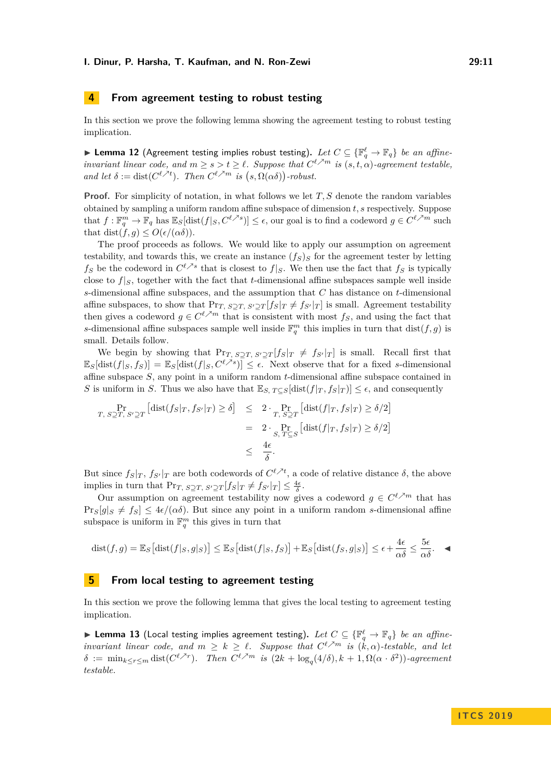## <span id="page-10-0"></span>**4 From agreement testing to robust testing**

In this section we prove the following lemma showing the agreement testing to robust testing implication.

<span id="page-10-3"></span>▶ Lemma 12 (Agreement testing implies robust testing). Let  $C \subseteq \{\mathbb{F}_q^{\ell} \to \mathbb{F}_q\}$  be an affine*invariant linear code, and*  $m \geq s > t \geq \ell$ . Suppose that  $C^{\ell \nearrow m}$  *is*  $(s, t, \alpha)$ -agreement testable, *and let*  $\delta := \text{dist}(C^{\ell \nearrow t})$ *. Then*  $C^{\ell \nearrow m}$  *is*  $(s, \Omega(\alpha \delta))$ -robust.

**Proof.** For simplicity of notation, in what follows we let *T*, *S* denote the random variables obtained by sampling a uniform random affine subspace of dimension *t, s* respectively. Suppose that  $f: \mathbb{F}_q^m \to \mathbb{F}_q$  has  $\mathbb{E}_S[\text{dist}(f|_S, C^{\ell \nearrow s})] \leq \epsilon$ , our goal is to find a codeword  $g \in C^{\ell \nearrow m}$  such that dist( $\hat{f}, q$ ) <  $O(\epsilon/(\alpha\delta)).$ 

The proof proceeds as follows. We would like to apply our assumption on agreement testability, and towards this, we create an instance  $(f_S)_S$  for the agreement tester by letting *f*<sub>*S*</sub> be the codeword in  $C^{\ell \nearrow s}$  that is closest to  $f|_S$ . We then use the fact that  $f_S$  is typically close to  $f|_S$ , together with the fact that *t*-dimensional affine subspaces sample well inside *s*-dimensional affine subspaces, and the assumption that *C* has distance on *t*-dimensional affine subspaces, to show that  $Pr_{T, S\supset T} f_S|_T \neq f_{S'}|_T$  is small. Agreement testability then gives a codeword  $g \in C^{\ell \nearrow m}$  that is consistent with most  $f_S$ , and using the fact that *s*-dimensional affine subspaces sample well inside  $\mathbb{F}_q^m$  this implies in turn that  $dist(f, g)$  is small. Details follow.

We begin by showing that  $Pr_{T, S \supseteq T} f_S|_T \neq f_{S'}|_T$  is small. Recall first that  $\mathbb{E}_S[\text{dist}(f|_S, f_S)] = \mathbb{E}_S[\text{dist}(f|_S, C^{\ell \nearrow s})] \leq \epsilon$ . Next observe that for a fixed *s*-dimensional affine subspace *S*, any point in a uniform random *t*-dimensional affine subspace contained in *S* is uniform in *S*. Thus we also have that  $\mathbb{E}_{S, T \subseteq S}[\text{dist}(f|_T, f_S|_T)] \leq \epsilon$ , and consequently

$$
\Pr_{T, S \supseteq T, S' \supseteq T} \left[ \text{dist}(f_S|_T, f_{S'}|_T) \ge \delta \right] \le 2 \cdot \Pr_{T, S \supseteq T} \left[ \text{dist}(f|_T, f_S|_T) \ge \delta/2 \right]
$$
\n
$$
= 2 \cdot \Pr_{S, T \subseteq S} \left[ \text{dist}(f|_T, f_S|_T) \ge \delta/2 \right]
$$
\n
$$
\le \frac{4\epsilon}{\delta}.
$$

But since  $f_S|_T$ ,  $f_{S'}|_T$  are both codewords of  $C^{\ell \nearrow t}$ , a code of relative distance  $\delta$ , the above implies in turn that  $Pr_T$ ,  $S \supseteq T$ ,  $S' \supseteq T$  [ $f_S | T \neq f_{S'} | T$ ]  $\leq \frac{4\epsilon}{\delta}$ .

Our assumption on agreement testability now gives a codeword  $g \in C^{\ell \nearrow m}$  that has  $\Pr_s[g]_S \neq f_S] \leq 4\epsilon/(\alpha\delta)$ . But since any point in a uniform random *s*-dimensional affine subspace is uniform in  $\mathbb{F}_q^m$  this gives in turn that

dist
$$
(f,g)
$$
 =  $\mathbb{E}_S$  [dist $(f|_S, g|_S)$ ]  $\leq \mathbb{E}_S$  [dist $(f|_S, f_S)$ ] +  $\mathbb{E}_S$  [dist $(f_S, g|_S)$ ]  $\leq \epsilon + \frac{4\epsilon}{\alpha \delta} \leq \frac{5\epsilon}{\alpha \delta}$ .

## <span id="page-10-1"></span>**5 From local testing to agreement testing**

In this section we prove the following lemma that gives the local testing to agreement testing implication.

<span id="page-10-2"></span>▶ Lemma 13 (Local testing implies agreement testing). Let  $C \subseteq {\mathbb{F}_q^{\ell}} \to \mathbb{F}_q$  *be an affineinvariant linear code, and*  $m \geq k \geq \ell$ . Suppose that  $C^{\ell \nearrow m}$  *is*  $(k, \alpha)$ -testable, and let  $\delta := \min_{k \leq r \leq m} \text{dist}(C^{\ell \nearrow r})$ . Then  $C^{\ell \nearrow m}$  is  $(2k + \log_q(4/\delta), k + 1, \Omega(\alpha \cdot \delta^2))$ -agreement *testable.*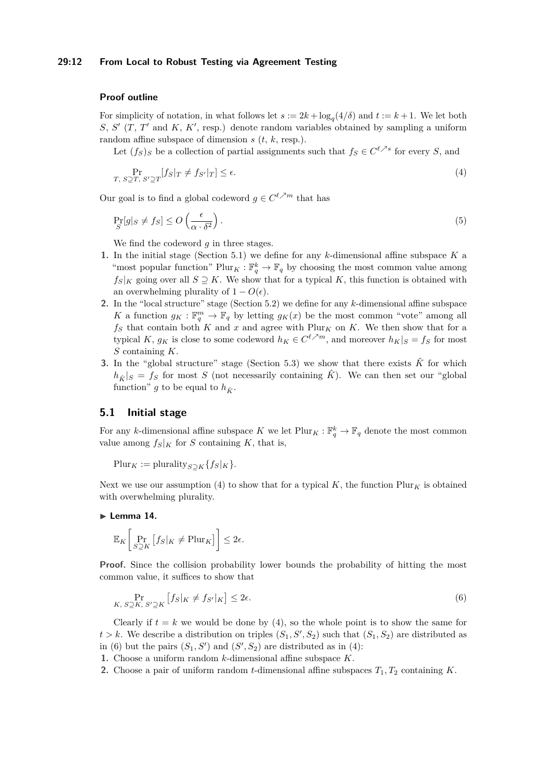### **29:12 From Local to Robust Testing via Agreement Testing**

## **Proof outline**

For simplicity of notation, in what follows let  $s := 2k + \log_q(4/\delta)$  and  $t := k + 1$ . We let both  $S, S'$  (*T*, *T*' and *K*, *K*', resp.) denote random variables obtained by sampling a uniform random affine subspace of dimension *s* (*t*, *k*, resp.).

Let  $(f_S)_S$  be a collection of partial assignments such that  $f_S \in C^{\ell \nearrow s}$  for every *S*, and

<span id="page-11-4"></span><span id="page-11-1"></span>
$$
\Pr_{T,\ S \supseteq T, S' \supseteq T} [f_S|_T \neq f_{S'}|_T] \leq \epsilon. \tag{4}
$$

Our goal is to find a global codeword  $g \in C^{\ell \nearrow m}$  that has

$$
\Pr_{S}[g|_{S} \neq f_{S}] \leq O\left(\frac{\epsilon}{\alpha \cdot \delta^{2}}\right). \tag{5}
$$

We find the codeword *g* in three stages.

- **1.** In the initial stage (Section [5.1\)](#page-11-0) we define for any *k*-dimensional affine subspace *K* a "most popular function"  $\text{Plur}_K : \mathbb{F}_q^k \to \mathbb{F}_q$  by choosing the most common value among  $f_S|_K$  going over all  $S \supset K$ . We show that for a typical K, this function is obtained with an overwhelming plurality of  $1 - O(\epsilon)$ .
- **2.** In the "local structure" stage (Section [5.2\)](#page-12-0) we define for any *k*-dimensional affine subspace *K* a function  $g_K : \mathbb{F}_q^m \to \mathbb{F}_q$  by letting  $g_K(x)$  be the most common "vote" among all  $f_S$  that contain both  $K$  and  $x$  and agree with  $\text{Plur}_K$  on  $K$ . We then show that for a typical *K*,  $g_K$  is close to some codeword  $h_K \in C^{\ell \nearrow m}$ , and moreover  $h_K|_S = f_S$  for most *S* containing *K*.
- **3.** In the "global structure" stage (Section [5.3\)](#page-15-1) we show that there exists  $\hat{K}$  for which  $h_{\hat{K}}|s = f_{S}$  for most *S* (not necessarily containing  $\hat{K}$ ). We can then set our "global function" *g* to be equal to  $h_{\hat{K}}$ .

## <span id="page-11-0"></span>**5.1 Initial stage**

For any *k*-dimensional affine subspace *K* we let  $\text{Plur}_K : \mathbb{F}_q^k \to \mathbb{F}_q$  denote the most common value among  $f_S|_K$  for *S* containing *K*, that is,

 $Plur_K := plurality_{S\supset K}{f_S|_K}.$ 

Next we use our assumption [\(4\)](#page-11-1) to show that for a typical  $K$ , the function Plur<sub>K</sub> is obtained with overwhelming plurality.

#### <span id="page-11-3"></span> $\blacktriangleright$  Lemma 14.

$$
\mathbb{E}_K\bigg[\Pr_{S \supseteq K} \big[f_S|_K \neq \text{Plur}_K\big]\bigg] \leq 2\epsilon.
$$

**Proof.** Since the collision probability lower bounds the probability of hitting the most common value, it suffices to show that

<span id="page-11-2"></span>
$$
\Pr_{K, S \supseteq K, S' \supseteq K} \left[ f_S |_K \neq f_{S'} |_K \right] \leq 2\epsilon. \tag{6}
$$

Clearly if  $t = k$  we would be done by [\(4\)](#page-11-1), so the whole point is to show the same for  $t > k$ . We describe a distribution on triples  $(S_1, S', S_2)$  such that  $(S_1, S_2)$  are distributed as in [\(6\)](#page-11-2) but the pairs  $(S_1, S')$  and  $(S', S_2)$  are distributed as in [\(4\)](#page-11-1):

**1.** Choose a uniform random *k*-dimensional affine subspace *K*.

**2.** Choose a pair of uniform random *t*-dimensional affine subspaces *T*1*, T*<sup>2</sup> containing *K*.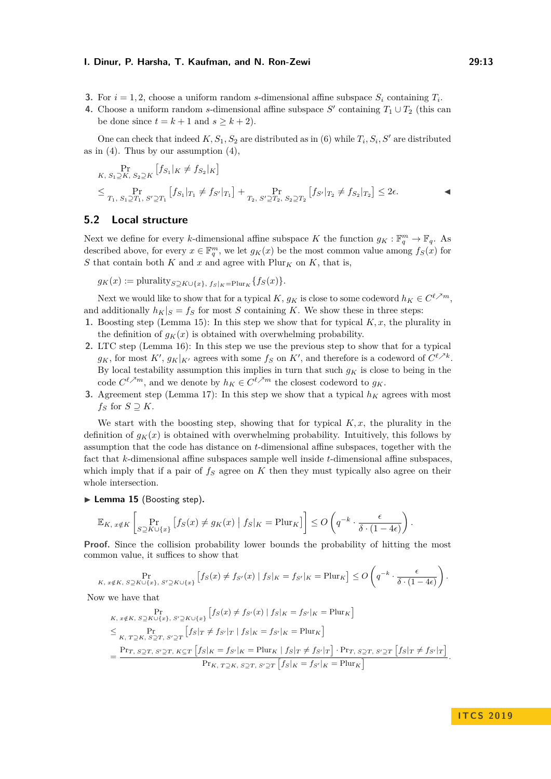- **3.** For  $i = 1, 2$ , choose a uniform random *s*-dimensional affine subspace  $S_i$  containing  $T_i$ .
- **4.** Choose a uniform random *s*-dimensional affine subspace  $S'$  containing  $T_1 \cup T_2$  (this can be done since  $t = k + 1$  and  $s \ge k + 2$ .

One can check that indeed  $K, S_1, S_2$  are distributed as in [\(6\)](#page-11-2) while  $T_i, S_i, S'$  are distributed as in  $(4)$ . Thus by our assumption  $(4)$ ,

$$
\Pr_{K, S_1 \supseteq K, S_2 \supseteq K} [f_{S_1}|_K \neq f_{S_2}|_K]
$$
\n
$$
\leq \Pr_{T_1, S_1 \supseteq T_1, S' \supseteq T_1} [f_{S_1}|_{T_1} \neq f_{S'}|_{T_1}] + \Pr_{T_2, S' \supseteq T_2, S_2 \supseteq T_2} [f_{S'}|_{T_2} \neq f_{S_2}|_{T_2}] \leq 2\epsilon.
$$

## <span id="page-12-0"></span>**5.2 Local structure**

Next we define for every *k*-dimensional affine subspace *K* the function  $g_K : \mathbb{F}_q^m \to \mathbb{F}_q$ . As described above, for every  $x \in \mathbb{F}_q^m$ , we let  $g_K(x)$  be the most common value among  $f_S(x)$  for *S* that contain both  $K$  and  $x$  and agree with  $\text{Plur}_K$  on  $K$ , that is,

 $g_K(x) := \text{plurality}_{S \supseteq K \cup \{x\}, f_S|_K = \text{Plur}_K} \{f_S(x)\}.$ 

Next we would like to show that for a typical  $K$ ,  $g_K$  is close to some codeword  $h_K \in C^{\ell \nearrow m}$ , and additionally  $h_K|_S = f_S$  for most *S* containing *K*. We show these in three steps:

- **1.** Boosting step (Lemma [15\)](#page-12-1): In this step we show that for typical *K, x*, the plurality in the definition of  $g_K(x)$  is obtained with overwhelming probability.
- **2.** LTC step (Lemma [16\)](#page-13-0): In this step we use the previous step to show that for a typical  $g_K$ , for most  $K'$ ,  $g_K|_{K'}$  agrees with some  $f_S$  on  $K'$ , and therefore is a codeword of  $C^{\ell \nearrow k}$ . By local testability assumption this implies in turn that such  $q_K$  is close to being in the code  $C^{\ell \nearrow m}$ , and we denote by  $h_K \in C^{\ell \nearrow m}$  the closest codeword to  $g_K$ .
- **3.** Agreement step (Lemma [17\)](#page-14-0): In this step we show that a typical  $h_K$  agrees with most *f<sub>S</sub>* for *S*  $\supseteq$  *K*.

We start with the boosting step, showing that for typical  $K, x$ , the plurality in the definition of  $g_K(x)$  is obtained with overwhelming probability. Intuitively, this follows by assumption that the code has distance on *t*-dimensional affine subspaces, together with the fact that *k*-dimensional affine subspaces sample well inside *t*-dimensional affine subspaces, which imply that if a pair of  $f<sub>S</sub>$  agree on  $K$  then they must typically also agree on their whole intersection.

<span id="page-12-1"></span>▶ Lemma 15 (Boosting step).

$$
\mathbb{E}_{K, x \notin K} \left[ \Pr_{S \supseteq K \cup \{x\}} \left[ f_S(x) \neq g_K(x) \mid f_S|_K = \text{Plur}_K \right] \right] \leq O\left( q^{-k} \cdot \frac{\epsilon}{\delta \cdot (1 - 4\epsilon)} \right).
$$

**Proof.** Since the collision probability lower bounds the probability of hitting the most common value, it suffices to show that

$$
\Pr_{K, x \notin K, S \supseteq K \cup \{x\}, S' \supseteq K \cup \{x\}} \left[ f_S(x) \neq f_{S'}(x) \mid f_S|_K = f_{S'}|_K = \text{Plur}_K \right] \leq O\left(q^{-k} \cdot \frac{\epsilon}{\delta \cdot (1 - 4\epsilon)}\right).
$$

Now we have that

$$
\Pr_{K, x \notin K, S \supseteq K \cup \{x\}, S' \supseteq K \cup \{x\}} [fs(x) \neq fs'(x) | fs|_K = fs'|_K = \text{Plur}_K]
$$
\n
$$
\leq \Pr_{K, T \supseteq K, S \supseteq T, S' \supseteq T} [fs|r \neq fs'|_T | fs|_K = fs'|_K = \text{Plur}_K]
$$
\n
$$
= \frac{\Pr_{T, S \supseteq T, S' \supseteq T, K \supseteq T} [fs|_K = fs'|_K = \text{Plur}_K | fs|_T \neq fs'|_T] \cdot \Pr_{T, S \supseteq T, S' \supseteq T} [fs|_T \neq fs'|_T]}{\Pr_{K, T \supseteq K, S \supseteq T, S' \supseteq T} [fs|_K = fs'|_K = \text{Plur}_K]}.
$$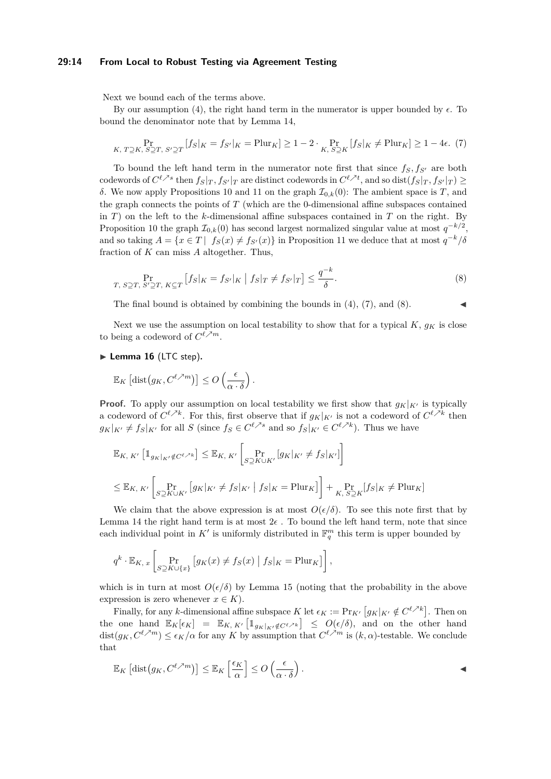### **29:14 From Local to Robust Testing via Agreement Testing**

Next we bound each of the terms above.

By our assumption [\(4\)](#page-11-1), the right hand term in the numerator is upper bounded by  $\epsilon$ . To bound the denominator note that by Lemma [14,](#page-11-3)

<span id="page-13-1"></span>
$$
\Pr_{K, T \supseteq K, S \supseteq T, S' \supseteq T} [f_S|_K = f_{S'}|_K = \text{Plur}_K] \ge 1 - 2 \cdot \Pr_{K, S \supseteq K} [f_S|_K \ne \text{Plur}_K] \ge 1 - 4\epsilon. \tag{7}
$$

To bound the left hand term in the numerator note first that since  $f_S, f_{S'}$  are both codewords of  $C^{\ell \nearrow s}$  then  $f_S|_T, f_{S'}|_T$  are distinct codewords in  $C^{\ell \nearrow t}$ , and so  $\text{dist}(f_S|_T, f_{S'}|_T) \geq$ *δ*. We now apply Propositions [10](#page-9-0) and [11](#page-9-1) on the graph  $\mathcal{I}_{0,k}(0)$ : The ambient space is *T*, and the graph connects the points of *T* (which are the 0-dimensional affine subspaces contained in *T*) on the left to the *k*-dimensional affine subspaces contained in *T* on the right. By Proposition [10](#page-9-0) the graph  $\mathcal{I}_{0,k}(0)$  has second largest normalized singular value at most  $q^{-k/2}$ , and so taking  $A = \{x \in T \mid f_S(x) \neq f_{S'}(x)\}\$ in Proposition [11](#page-9-1) we deduce that at most  $q^{-k}/\delta$ fraction of *K* can miss *A* altogether. Thus,

<span id="page-13-2"></span>
$$
\Pr_{T, S \supseteq T, S' \supseteq T, K \subseteq T} \left[ f_S |_{K} = f_{S'} |_{K} \mid f_S |_{T} \neq f_{S'} |_{T} \right] \leq \frac{q^{-k}}{\delta}.
$$
\n
$$
(8)
$$

The final bound is obtained by combining the bounds in  $(4)$ ,  $(7)$ , and  $(8)$ .

Next we use the assumption on local testability to show that for a typical  $K$ ,  $q_K$  is close to being a codeword of  $C^{\ell \nearrow m}$ .

<span id="page-13-0"></span>▶ Lemma 16 (LTC step).

$$
\mathbb{E}_K \left[ \text{dist}\big(g_K, C^{\ell \nearrow m}\big) \right] \leq O\left(\frac{\epsilon}{\alpha \cdot \delta}\right).
$$

**Proof.** To apply our assumption on local testability we first show that  $g_K|_{K}$  is typically a codeword of  $C^{\ell \nearrow k}$ . For this, first observe that if  $g_K|_{K'}$  is not a codeword of  $C^{\ell \nearrow k}$  then  $g_K|_{K'} \neq f_S|_{K'}$  for all *S* (since  $f_S \in C^{\ell \nearrow s}$  and so  $f_S|_{K'} \in C^{\ell \nearrow k}$ ). Thus we have

$$
\mathbb{E}_{K, K'} \left[ \mathbb{1}_{g_K|_{K'} \notin C^{\ell, \times k}} \right] \leq \mathbb{E}_{K, K'} \left[ \Pr_{S \supseteq K \cup K'} \left[ g_K|_{K'} \neq f_S|_{K'} \right] \right]
$$
  

$$
\leq \mathbb{E}_{K, K'} \left[ \Pr_{S \supseteq K \cup K'} \left[ g_K|_{K'} \neq f_S|_{K'} \mid f_S|_{K} = \text{Plur}_K \right] \right] + \Pr_{K, S \supseteq K} \left[ f_S|_{K} \neq \text{Plur}_K \right]
$$

We claim that the above expression is at most  $O(\epsilon/\delta)$ . To see this note first that by Lemma [14](#page-11-3) the right hand term is at most  $2\epsilon$ . To bound the left hand term, note that since each individual point in  $K'$  is uniformly distributed in  $\mathbb{F}_q^m$  this term is upper bounded by

$$
q^k \cdot \mathbb{E}_{K,\,x} \left[ \Pr_{S \supseteq K \cup \{x\}} \left[ g_K(x) \neq f_S(x) \mid f_S|_K = \text{Plur}_K \right] \right],
$$

which is in turn at most  $O(\epsilon/\delta)$  by Lemma [15](#page-12-1) (noting that the probability in the above expression is zero whenever  $x \in K$ .

Finally, for any *k*-dimensional affine subspace *K* let  $\epsilon_K := \Pr_{K'} [g_K|_{K'} \notin C^{\ell \nearrow k}]$ . Then on the one hand  $\mathbb{E}_K[\epsilon_K] = \mathbb{E}_{K, K'}[\mathbb{1}_{g_K|_{K'} \notin C^{\ell \nearrow k}}] \leq O(\epsilon/\delta)$ , and on the other hand  $dist(g_K, C^{\ell \nearrow m}) \leq \epsilon_K/\alpha$  for any *K* by assumption that  $C^{\ell \nearrow m}$  is  $(k, \alpha)$ -testable. We conclude that

$$
\mathbb{E}_K \left[ \text{dist}\big(g_K, C^{\ell \nearrow m}\big) \right] \leq \mathbb{E}_K \left[ \frac{\epsilon_K}{\alpha} \right] \leq O\left( \frac{\epsilon}{\alpha \cdot \delta} \right).
$$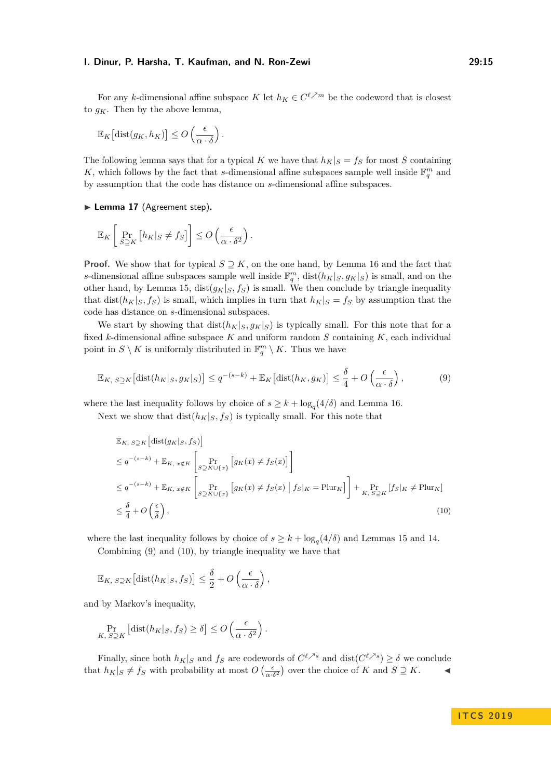For any *k*-dimensional affine subspace *K* let  $h_K \in C^{\ell \nearrow m}$  be the codeword that is closest to  $g_K$ . Then by the above lemma,

$$
\mathbb{E}_K\big[\text{dist}(g_K, h_K)\big] \leq O\left(\frac{\epsilon}{\alpha \cdot \delta}\right).
$$

The following lemma says that for a typical *K* we have that  $h_K|_S = f_S$  for most *S* containing K, which follows by the fact that *s*-dimensional affine subspaces sample well inside  $\mathbb{F}_q^m$  and by assumption that the code has distance on *s*-dimensional affine subspaces.

<span id="page-14-0"></span>▶ Lemma 17 (Agreement step).

$$
\mathbb{E}_K\left[\Pr_{S\supseteq K}\left[h_K|_S\neq f_S\right]\right]\leq O\left(\frac{\epsilon}{\alpha\cdot\delta^2}\right).
$$

**Proof.** We show that for typical  $S \supseteq K$ , on the one hand, by Lemma [16](#page-13-0) and the fact that *s*-dimensional affine subspaces sample well inside  $\mathbb{F}_q^m$ , dist $(h_K|_S, g_K|_S)$  is small, and on the other hand, by Lemma [15,](#page-12-1)  $dist(g_K|_S, f_S)$  is small. We then conclude by triangle inequality that dist( $h_K$ |<sub>S</sub>,  $f_S$ ) is small, which implies in turn that  $h_K$ | $s = f_S$  by assumption that the code has distance on *s*-dimensional subspaces.

We start by showing that  $dist(h_K|_S, g_K|_S)$  is typically small. For this note that for a fixed *k*-dimensional affine subspace *K* and uniform random *S* containing *K*, each individual point in  $S \setminus K$  is uniformly distributed in  $\mathbb{F}_q^m \setminus K$ . Thus we have

<span id="page-14-1"></span>
$$
\mathbb{E}_{K, S\supseteq K} \left[ \text{dist}(h_K|_S, g_K|_S) \right] \le q^{-(s-k)} + \mathbb{E}_K \left[ \text{dist}(h_K, g_K) \right] \le \frac{\delta}{4} + O\left(\frac{\epsilon}{\alpha \cdot \delta}\right),\tag{9}
$$

where the last inequality follows by choice of  $s \geq k + \log_q(4/\delta)$  and Lemma [16.](#page-13-0)

Next we show that  $dist(h_K|_S, f_S)$  is typically small. For this note that

<span id="page-14-2"></span>
$$
\mathbb{E}_{K, S\supseteq K} \left[ \text{dist}(g_K|_{S}, f_S) \right]
$$
\n
$$
\leq q^{-(s-k)} + \mathbb{E}_{K, x \notin K} \left[ \Pr_{S \supseteq K \cup \{x\}} \left[ g_K(x) \neq f_S(x) \right] \right]
$$
\n
$$
\leq q^{-(s-k)} + \mathbb{E}_{K, x \notin K} \left[ \Pr_{S \supseteq K \cup \{x\}} \left[ g_K(x) \neq f_S(x) \mid f_S|_K = \text{Plur}_K \right] \right] + \Pr_{K, S \supseteq K} \left[ f_S|_K \neq \text{Plur}_K \right]
$$
\n
$$
\leq \frac{\delta}{4} + O\left(\frac{\epsilon}{\delta}\right), \tag{10}
$$

where the last inequality follows by choice of  $s \geq k + \log_q(4/\delta)$  and Lemmas [15](#page-12-1) and [14.](#page-11-3)

Combining [\(9\)](#page-14-1) and [\(10\)](#page-14-2), by triangle inequality we have that

$$
\mathbb{E}_{K, S\supseteq K}[\text{dist}(h_K|_S, f_S)] \leq \frac{\delta}{2} + O\left(\frac{\epsilon}{\alpha \cdot \delta}\right),
$$

and by Markov's inequality,

$$
\Pr_{K, S \supseteq K} \left[ \text{dist}(h_K |_{S}, f_S) \ge \delta \right] \le O\left(\frac{\epsilon}{\alpha \cdot \delta^2}\right).
$$

Finally, since both  $h_K|_S$  and  $f_S$  are codewords of  $C^{\ell \nearrow s}$  and  $dist(C^{\ell \nearrow s}) \ge \delta$  we conclude that  $h_K|_S \neq f_S$  with probability at most  $O\left(\frac{\epsilon}{\alpha \cdot \delta^2}\right)$  over the choice of *K* and  $S \supseteq K$ .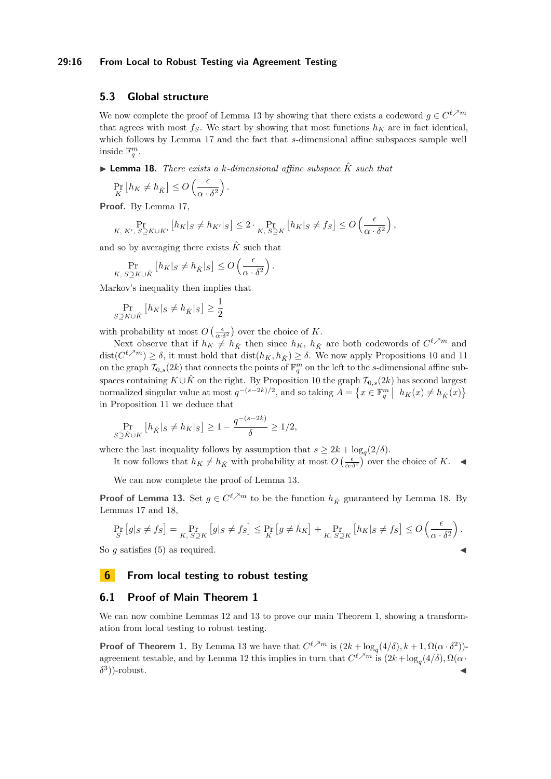### **29:16 From Local to Robust Testing via Agreement Testing**

## <span id="page-15-1"></span>**5.3 Global structure**

We now complete the proof of Lemma [13](#page-10-2) by showing that there exists a codeword  $g \in C^{\ell \nearrow m}$ that agrees with most  $f_S$ . We start by showing that most functions  $h_K$  are in fact identical, which follows by Lemma [17](#page-14-0) and the fact that *s*-dimensional affine subspaces sample well inside  $\mathbb{F}_q^m$ .

<span id="page-15-2"></span> $\blacktriangleright$  **Lemma 18.** *There exists a k*-dimensional affine subspace  $\hat{K}$  such that

$$
\Pr_K [h_K \neq h_{\hat{K}}] \leq O\left(\frac{\epsilon}{\alpha \cdot \delta^2}\right).
$$

**Proof.** By Lemma [17,](#page-14-0)

$$
\Pr_{K, K', S \supseteq K \cup K'} \left[ h_K|_S \neq h_{K'}|_S \right] \leq 2 \cdot \Pr_{K, S \supseteq K} \left[ h_K|_S \neq f_S \right] \leq O\left( \frac{\epsilon}{\alpha \cdot \delta^2} \right),
$$

and so by averaging there exists  $\hat{K}$  such that

$$
\Pr_{K, S \supseteq K \cup \hat{K}} \left[ h_K |_{S} \neq h_{\hat{K}} |_{S} \right] \leq O \left( \frac{\epsilon}{\alpha \cdot \delta^2} \right).
$$

Markov's inequality then implies that

$$
\Pr_{S \supseteq K \cup \hat{K}} \left[ h_K |_{S} \neq h_{\hat{K}} |_{S} \right] \ge \frac{1}{2}
$$

with probability at most  $O\left(\frac{\epsilon}{\alpha \cdot \delta^2}\right)$  over the choice of K.

Next observe that if  $h_K \neq h_{\hat{K}}$  then since  $h_K$ ,  $h_{\hat{K}}$  are both codewords of  $C^{\ell \nearrow m}$  and  $\text{dist}(C^{\ell \nearrow m}) \geq \delta$ , it must hold that  $\text{dist}(h_K, h_{\hat{K}}) \geq \delta$ . We now apply Propositions [10](#page-9-0) and [11](#page-9-1) on the graph  $\mathcal{I}_{0,s}(2k)$  that connects the points of  $\mathbb{F}_q^m$  on the left to the *s*-dimensional affine subspaces containing  $K \cup \hat{K}$  on the right. By Proposition [10](#page-9-0) the graph  $\mathcal{I}_{0,s}(2k)$  has second largest normalized singular value at most  $q^{-(s-2k)/2}$ , and so taking  $A = \{x \in \mathbb{F}_q^m \mid h_K(x) \neq h_{\hat{K}}(x)\}\$ in Proposition [11](#page-9-1) we deduce that

$$
\Pr_{S \supseteq \hat{K} \cup K} \left[ h_{\hat{K}} |_{S} \neq h_{K} |_{S} \right] \ge 1 - \frac{q^{-(s-2k)}}{\delta} \ge 1/2,
$$

where the last inequality follows by assumption that  $s \geq 2k + \log_q(2/\delta)$ .

It now follows that  $h_K \neq h_{\hat{K}}$  with probability at most  $O\left(\frac{\epsilon}{\alpha \cdot \delta^2}\right)$  over the choice of  $K$ .

We can now complete the proof of Lemma [13.](#page-10-2)

**Proof of Lemma [13.](#page-10-2)** Set  $g \in C^{\ell \nearrow m}$  to be the function  $h_{\hat{K}}$  guaranteed by Lemma [18.](#page-15-2) By Lemmas [17](#page-14-0) and [18,](#page-15-2)

$$
\Pr_{S}\left[g|_{S} \neq f_{S}\right] = \Pr_{K, S \supseteq K}\left[g|_{S} \neq f_{S}\right] \leq \Pr_{K}\left[g \neq h_{K}\right] + \Pr_{K, S \supseteq K}\left[h_{K}|_{S} \neq f_{S}\right] \leq O\left(\frac{\epsilon}{\alpha \cdot \delta^{2}}\right).
$$

So  $g$  satisfies  $(5)$  as required.

# <span id="page-15-0"></span>**6 From local testing to robust testing**

## **6.1 Proof of Main Theorem [1](#page-3-1)**

We can now combine Lemmas [12](#page-10-3) and [13](#page-10-2) to prove our main Theorem [1,](#page-3-1) showing a transformation from local testing to robust testing.

**Proof of Theorem [1.](#page-3-1)** By Lemma [13](#page-10-2) we have that  $C^{\ell,m}$  is  $(2k + \log_q(4/\delta), k + 1, \Omega(\alpha \cdot \delta^2))$ -agreement testable, and by Lemma [12](#page-10-3) this implies in turn that  $C^{\ell \nearrow m}$  is  $(2k + \log_q(4/\delta), \Omega(\alpha \cdot$ *δ* 3  $)$ -robust.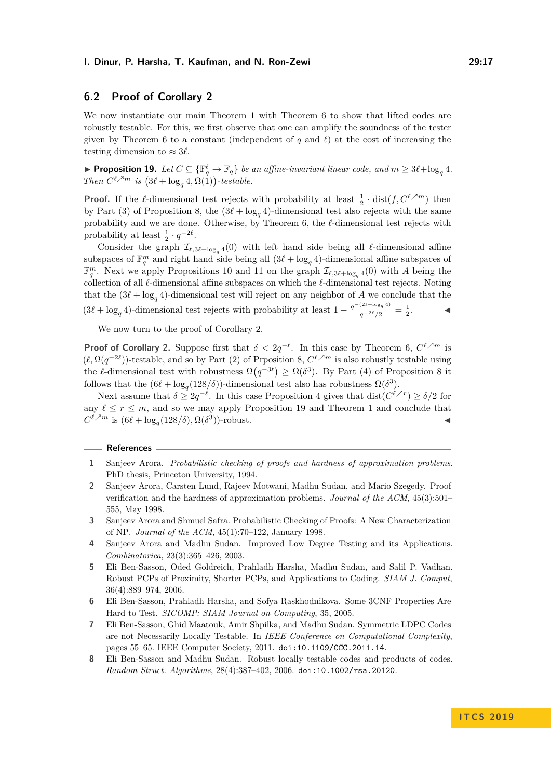## **6.2 Proof of Corollary [2](#page-3-2)**

We now instantiate our main Theorem [1](#page-3-1) with Theorem [6](#page-7-0) to show that lifted codes are robustly testable. For this, we first observe that one can amplify the soundness of the tester given by Theorem [6](#page-7-0) to a constant (independent of  $q$  and  $\ell$ ) at the cost of increasing the testing dimension to  $\approx 3\ell$ .

<span id="page-16-4"></span>▶ **Proposition 19.** *Let*  $C \subseteq {\mathbb{F}_q^{\ell}} \to \mathbb{F}_q$  *be an affine-invariant linear code, and*  $m \geq 3\ell + \log_q 4$ *. Then*  $C^{\ell \nearrow m}$  *is*  $(3\ell + \log_q 4, \Omega(1))$ -testable.

**Proof.** If the  $\ell$ -dimensional test rejects with probability at least  $\frac{1}{2} \cdot \text{dist}(f, C^{\ell \nearrow m})$  then by Part (3) of Proposition [8,](#page-8-0) the  $(3\ell + \log_q 4)$ -dimensional test also rejects with the same probability and we are done. Otherwise, by Theorem [6,](#page-7-0) the  $\ell$ -dimensional test rejects with probability at least  $\frac{1}{2} \cdot q^{-2\ell}$ .

Consider the graph  $\mathcal{I}_{\ell,3\ell+\log_q 4}(0)$  with left hand side being all  $\ell$ -dimensional affine subspaces of  $\mathbb{F}_q^m$  and right hand side being all  $(3\ell + \log_q 4)$ -dimensional affine subspaces of  $\mathbb{F}_q^m$ . Next we apply Propositions [10](#page-9-0) and [11](#page-9-1) on the graph  $\mathcal{I}_{\ell,3\ell+\log_q 4}(0)$  with *A* being the collection of all  $\ell$ -dimensional affine subspaces on which the  $\ell$ -dimensional test rejects. Noting that the  $(3\ell + \log_q 4)$ -dimensional test will reject on any neighbor of *A* we conclude that the  $(3\ell + \log_q 4)$ -dimensional test rejects with probability at least  $1 - \frac{q^{-(2\ell + \log_q 4)}}{q^{-2\ell}/2} = \frac{1}{2}$ *.* J

We now turn to the proof of Corollary [2.](#page-3-2)

**Proof of Corollary [2.](#page-3-2)** Suppose first that  $\delta < 2q^{-\ell}$ . In this case by Theorem [6,](#page-7-0)  $C^{\ell,m}$  is  $(\ell, \Omega(q^{-2\ell}))$ -testable, and so by Part (2) of Prposition [8,](#page-8-0)  $C^{\ell \nearrow m}$  is also robustly testable using the *l*-dimensional test with robustness  $\Omega(q^{-3\ell}) \geq \Omega(\delta^3)$ . By Part (4) of Proposition [8](#page-8-0) it follows that the  $(6\ell + \log_q(128/\delta))$ -dimensional test also has robustness  $\Omega(\delta^3)$ .

Next assume that  $\delta \geq 2q^{-\ell}$ . In this case Proposition [4](#page-7-2) gives that  $dist(C^{\ell \nearrow r}) \geq \delta/2$  for any  $\ell \leq r \leq m$ , and so we may apply Proposition [19](#page-16-4) and Theorem [1](#page-3-1) and conclude that  $C^{\ell \nearrow m}$  is  $(6\ell + \log_q(128/\delta), \Omega(\delta^3))$ -robust.

#### **References**

- <span id="page-16-8"></span>**1** Sanjeev Arora. *Probabilistic checking of proofs and hardness of approximation problems*. PhD thesis, Princeton University, 1994.
- <span id="page-16-6"></span>**2** Sanjeev Arora, Carsten Lund, Rajeev Motwani, Madhu Sudan, and Mario Szegedy. Proof verification and the hardness of approximation problems. *Journal of the ACM*, 45(3):501– 555, May 1998.
- <span id="page-16-5"></span>**3** Sanjeev Arora and Shmuel Safra. Probabilistic Checking of Proofs: A New Characterization of NP. *Journal of the ACM*, 45(1):70–122, January 1998.
- <span id="page-16-7"></span>**4** Sanjeev Arora and Madhu Sudan. Improved Low Degree Testing and its Applications. *Combinatorica*, 23(3):365–426, 2003.
- <span id="page-16-1"></span>**5** Eli Ben-Sasson, Oded Goldreich, Prahladh Harsha, Madhu Sudan, and Salil P. Vadhan. Robust PCPs of Proximity, Shorter PCPs, and Applications to Coding. *SIAM J. Comput*, 36(4):889–974, 2006.
- <span id="page-16-2"></span>**6** Eli Ben-Sasson, Prahladh Harsha, and Sofya Raskhodnikova. Some 3CNF Properties Are Hard to Test. *SICOMP: SIAM Journal on Computing*, 35, 2005.
- <span id="page-16-3"></span>**7** Eli Ben-Sasson, Ghid Maatouk, Amir Shpilka, and Madhu Sudan. Symmetric LDPC Codes are not Necessarily Locally Testable. In *IEEE Conference on Computational Complexity*, pages 55–65. IEEE Computer Society, 2011. [doi:10.1109/CCC.2011.14](http://dx.doi.org/10.1109/CCC.2011.14).
- <span id="page-16-0"></span>**8** Eli Ben-Sasson and Madhu Sudan. Robust locally testable codes and products of codes. *Random Struct. Algorithms*, 28(4):387–402, 2006. [doi:10.1002/rsa.20120](http://dx.doi.org/10.1002/rsa.20120).